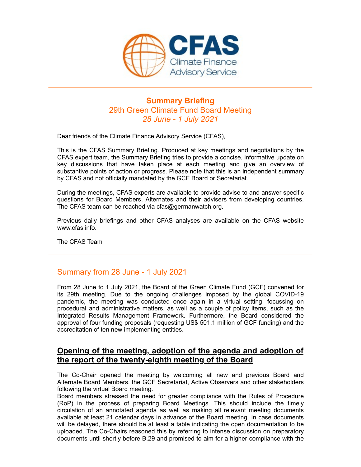

# Summary Briefing 29th Green Climate Fund Board Meeting 28 June - 1 July 2021

Dear friends of the Climate Finance Advisory Service (CFAS),

This is the CFAS Summary Briefing. Produced at key meetings and negotiations by the CFAS expert team, the Summary Briefing tries to provide a concise, informative update on **Key discussions that have taken place at each meeting and place at each meeting 28th Green Climate Fund Board Meeting<br>29th Green Climate Fund Board Meeting<br>28 June - 1 July 2021<br>Dear friends of the Climate Finance Advisor** substantive points of action or progress. Please note that this is an independent summary by CFAS and not officially mandated by the GCF Board or Secretariat.

During the meetings, CFAS experts are available to provide advise to and answer specific questions for Board Members, Alternates and their advisers from developing countries. The CFAS team can be reached via cfas@germanwatch.org.

Previous daily briefings and other CFAS analyses are available on the CFAS website www.cfas.info.

The CFAS Team

# Summary from 28 June - 1 July 2021

From 28 June to 1 July 2021, the Board of the Green Climate Fund (GCF) convened for This is the CFAS Summary Briefing. Produced at key meetings and negotiations by the CFAS expert team, the Summary Briefing tries to provide a concise, informative update on Reversions that have taken place at each meeting This is the CFAS Summary Briefing. Produced at key meetings and regotiations by the CFAS expert team, the Summary Briefing tries to provide a concise, informative update on<br>key discussions that have taken place at each mee procedural and administrative matters, as well as a couple of policy items, such as the key discussions that have taken place at each meeting and give an everyiew of<br>substantive points of action or progress. Please note that this is an independent summary<br>by CFAS and not officially mandated by the GCF Board o approval of four funding proposals (requesting US\$ 501.1 million of GCF funding) and the accreditation of ten new implementing entities. The CFAS Team<br>
The CFAS Team<br>
Www.cfas.info.<br>
The CFAS Team<br>
Summary from 28 June - 1 July 2021<br>
For 28 June to the by a consider different Climate Fund (GCF) convened for<br>
tis 29th meeting. Due to the ongoing challenges i **Summary from 28 June - 1 July 2021**<br>From 28 June to 1 July 2021, the Board of the Green Climate Fund (GCF) convened for<br>tis 29th meeting. Due to the ongoing challenges imposed by the global COVID-19<br>paredime, the meeting

#### Opening of the meeting, adoption of the agenda and adoption of the report of the twenty-eighth meeting of the Board

Alternate Board Members, the GCF Secretariat, Active Observers and other stakeholders following the virtual Board meeting.

Board members stressed the need for greater compliance with the Rules of Procedure circulation of an annotated agenda as well as making all relevant meeting documents available at least 21 calendar days in advance of the Board meeting. In case documents will be delayed, there should be at least a table indicating the open documentation to be uploaded. The Co-Chairs reasoned this by referring to intense discussion on preparatory documents until shortly before B.29 and promised to aim for a higher compliance with the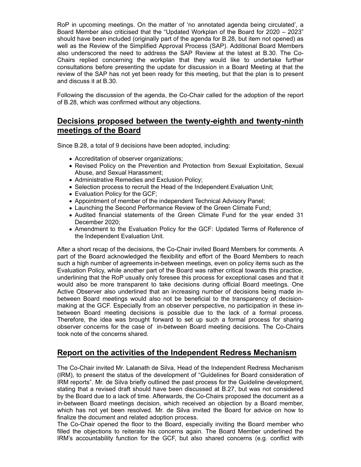RoP in upcoming meetings. On the matter of 'no annotated agenda being circulated', a Board Member also criticised that the "Updated Workplan of the Board for 2020 – 2023" should have been included (originally part of the agenda for B.28, but item not opened) as well as the Review of the Simplified Approval Process (SAP). Additional Board Members also underscored the need to address the SAP Review at the latest at B.30. The Co-RoP in upcoming meetings. On the matter of 'no annotated agenda being circulated', a<br>Board Member also criticised that the "Updated Workplan of the Board for 2020 – 2023"<br>should have been included (originally part of the a consultations before presenting the update for discussion in a Board Meeting at that the review of the SAP has not yet been ready for this meeting, but that the plan is to present and discuss it at B.30.

Following the discussion of the agenda, the Co-Chair called for the adoption of the report of B.28, which was confirmed without any objections.

### Decisions proposed between the twenty-eighth and twenty-ninth meetings of the Board

Since B.28, a total of 9 decisions have been adopted, including:

- Accreditation of observer organizations;
- Revised Policy on the Prevention and Protection from Sexual Exploitation, Sexual Abuse, and Sexual Harassment;
- Administrative Remedies and Exclusion Policy;
- Selection process to recruit the Head of the Independent Evaluation Unit;
- Evaluation Policy for the GCF;
- Appointment of member of the independent Technical Advisory Panel;
- Launching the Second Performance Review of the Green Climate Fund;
- Audited financial statements of the Green Climate Fund for the year ended 31 December 2020;
- Amendment to the Evaluation Policy for the GCF: Updated Terms of Reference of the Independent Evaluation Unit.

After a short recap of the decisions, the Co-Chair invited Board Members for comments. A part of the Board acknowledged the flexibility and effort of the Board Members to reach such a high number of agreements in-between meetings, even on policy items such as the Evaluation Policy, while another part of the Board was rather critical towards this practice, underlining that the RoP usually only foresee this process for exceptional cases and that it would also be more transparent to take decisions during official Board meetings. One Active Observer also underlined that an increasing number of decisions being made inbetween Board meetings would also not be beneficial to the transparency of decisionmaking at the GCF. Especially from an observer perspective, no participation in these in-Acceleration of user of the Prevention and Protection from Sexual Exploitation, Sexual<br>
Abuse, and Sexual Harasment;<br>
Acceleration process to recursit the Head of the Independent Evaluation Unit;<br>
• Selection process to re Therefore, the idea was brought forward to set up such a formal process for sharing observer concerns for the case of in-between Board meeting decisions. The Co-Chairs took note of the concerns shared.

# Report on the activities of the Independent Redress Mechanism

The Co-Chair invited Mr. Lalanath de Silva, Head of the Independent Redress Mechanism (IRM), to present the status of the development of "Guidelines for Board consideration of IRM reports". Mr. de Silva briefly outlined the past process for the Guideline development, stating that a revised draft should have been discussed at B.27, but was not considered by the Board due to a lack of time. Afterwards, the Co-Chairs proposed the document as a in-between Board meetings decision, which received an objection by a Board member, which has not yet been resolved. Mr. de Silva invited the Board for advice on how to finalize the document and related adoption process.

The Co-Chair opened the floor to the Board, especially inviting the Board member who filled the objections to reiterate his concerns again. The Board Member underlined the IRM's accountability function for the GCF, but also shared concerns (e.g. conflict with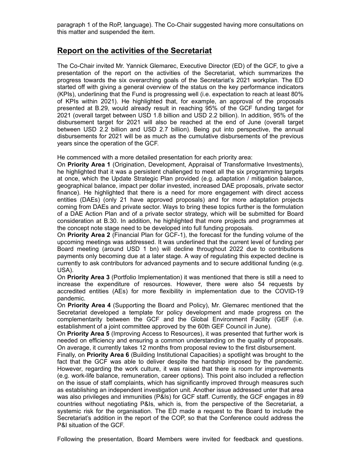paragraph 1 of the RoP, language). The Co-Chair suggested having more consultations on this matter and suspended the item.

# Report on the activities of the Secretariat

The Co-Chair invited Mr. Yannick Glemarec, Executive Director (ED) of the GCF, to give a paragraph 1 of the RoP, language). The Co-Chair suggested having more consultations on<br>this matter and suspended the item.<br>**Report on the activities of the Secretariat**<br>The Co-Chair invited Mr. Yannick Glemarec, Executive progress towards the six overarching goals of the Secretariat's 2021 workplan. The ED started off with giving a general overview of the status on the key performance indicators (KPIs), underlining that the Fund is progressing well (i.e. expectation to reach at least 80% paragraph 1 of the RoP, language). The Co-Chair suggested having more consultations on<br>this matter and suspended the item.<br>The Co-Chair invited Mr. Yannick Glemarec, Executive Director (ED) of the GCF, to give a<br>presentati presented at B.29, would already result in reaching 95% of the GCF funding target for 2021 (overall target between USD 1.8 billion and USD 2.2 billion). In addition, 95% of the disbursement target for 2021 will also be reached at the end of June (overall target between USD 2.2 billion and USD 2.7 billion). Being put into perspective, the annual disbursements for 2021 will be as much as the cumulative disbursements of the previous years since the operation of the GCF. **Report on the activities of the Secretariat**<br>The Co-Chair invited Mr. Yannick Glemarec, Executive Director (ED) of the GCF, to give a<br>progress towards the signot on the activities of the Secretariat, which summarizes the<br>

He commenced with a more detailed presentation for each priority area:

On Priority Area 1 (Origination, Development, Appraisal of Transformative Investments), he highlighted that it was a persistent challenged to meet all the six programming targets at once, which the Update Strategic Plan provided (e.g. adaptation / mitigation balance, geographical balance, impact per dollar invested, increased DAE proposals, private sector finance). He highlighted that there is a need for more engagement with direct access coming from DAEs and private sector. Ways to bring these topics further is the formulation of a DAE Action Plan and of a private sector strategy, which will be submitted for Board consideration at B.30. In addition, he highlighted that more projects and programmes at the concept note stage need to be developed into full funding proposals. (vrs.), the highlighted that there is a need for the forest<br>contribution and B.29, would all the proposed of the proposed contribution<br>(2021 (overall target between USD 1.8 billion and USD 2.2 billion). In addition, 95% of evere in OSD 2.2 visitom and Oslo 2.7 binancy. Being part in the perspectue, the armination of the previous disbursements for 2021 will be as much as the comunidated presentation for each priority area:<br>
He commenced with by a state of the common the activity and the simulation of the Simelar Sum shares since the operation of the GCF.<br>He commenced with a more detailed presentation for each priority area:<br>The heighlighted that it was a persi For Commission and motive cellarical presentation of each phonories and proparitive investments), the highlighted that it was a persistent challenged to meet all the six pogramming targets at once, which the Update Strateg or Fronty The are locolly alternative phases or mathematical complementaristics, the highlighted that it was a persistent challenged to meet all the six programming targets geographical balance, impact per dollar invested,

On Priority Area 2 (Financial Plan for GCF-1), the forecast for the funding volume of the upcoming meetings was addressed. It was underlined that the current level of funding per payments only becoming due at a later stage. A way of regulating this expected decline is currently to ask contributors for advanced payments and to secure additional funding (e.g. USA).

On Priority Area 3 (Portfolio Implementation) it was mentioned that there is still a need to pandemic.

On Priority Area 4 (Supporting the Board and Policy), Mr. Glemarec mentioned that the establishment of a joint committee approved by the 60th GEF Council in June).

On Priority Area 5 (Improving Access to Resources), it was presented that further work is needed on efficiency and ensuring a common understanding on the quality of proposals. On average, it currently takes 12 months from proposal review to the first disbursement.

Finally, on Priority Area 6 (Building Institutional Capacities) a spotlight was brought to the fact that the GCF was able to deliver despite the hardship imposed by the pandemic. However, regarding the work culture, it was raised that there is room for improvements (e.g. work-life balance, remuneration, career options). This point also included a reflection on the issue of staff complaints, which has significantly improved through measures such as establishing an independent investigation unit. Another issue addressed unter that area was also privileges and immunities (P&Is) for GCF staff. Currently, the GCF engages in 89 countries without negotiating P&Is, which is, from the perspective of the Secretariat, a systemic risk for the organisation. The ED made a request to the Board to include the Secretariat's addition in the report of the COP, so that the Conference could address the P&I situation of the GCF.

Following the presentation, Board Members were invited for feedback and questions.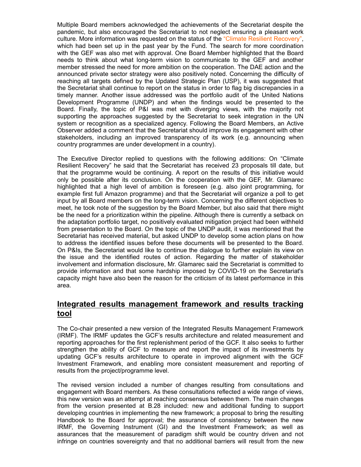Multiple Board members acknowledged the achievements of the Secretariat despite the pandemic, but also encouraged the Secretariat to not neglect ensuring a pleasant work culture. More information was requested on the status of the "Climate Resilient Recovery", which had been set up in the past year by the Fund. The search for more coordination with the GEF was also met with approval. One Board Member highlighted that the Board needs to think about what long-term vision to communicate to the GEF and another member stressed the need for more ambition on the cooperation. The DAE action and the announced private sector strategy were also positively noted. Concerning the difficulty of reaching all targets defined by the Updated Strategic Plan (USP), it was suggested that the Secretariat shall continue to report on the status in order to flag big discrepancies in a timely manner. Another issue addressed was the portfolio audit of the United Nations Multiple Board members acknowledged the achievements of the Secretariat despite the pandemic, but also encouraged the Secretariat to not neglect ensuring a pleasant work culture. More information was requested on the statu Multiple Board members acknowledged the achievements of the Secretariat despite the pandemic, but also encouraged the Secretariat to not neglect ensuring a pleasant work culture. More information was requested on the statu supporting the approaches suggested by the Secretariat to seek integration in the UN system or recognition as a specialized agency. Following the Board Members, an Active Observer added a comment that the Secretariat should improve its engagement with other Multiple Board members acknowledged the achievements of the Secretariat despite the pandemic, but also encouraged the Secretariat to not neglect ensuring a pleasant work which had been set up in the past year by the Fund. country programmes are under development in a country).

The Executive Director replied to questions with the following additions: On "Climate Resilient Recovery" he said that the Secretariat has received 23 proposals till date, but that the programme would be continuing. A report on the results of this initiative would only be possible after its conclusion. On the cooperation with the GEF, Mr. Glamarec highlighted that a high level of ambition is foreseen (e.g. also joint programming, for example first full Amazon programme) and that the Secretariat will organize a poll to get input by all Board members on the long-term vision. Concerning the different objectives to meet, he took note of the suggestion by the Board Member, but also said that there might be the need for a prioritization within the pipeline. Although there is currently a setback on the adaptation portfolio target, no positively evaluated mitigation project had been withheld from presentation to the Board. On the topic of the UNDP audit, it was mentioned that the Secretariat has received material, but asked UNDP to develop some action plans on how to address the identified issues before these documents will be presented to the Board. On P&Is, the Secretariat would like to continue the dialogue to further explain its view on Exemplement Programmine (Ower) and when the matter in the matter and the procedure and the matter of the System or recognition as a specialized agency. Following the Board Members, an Active system or recognition as a spec involvement and information disclosure, Mr. Glamarec said the Secretariat is committed to provide information and that some hardship imposed by COVID-19 on the Secretariat's capacity might have also been the reason for the criticism of its latest performance in this area. meer), and book arthitecture in the mead of the increased versults are the mead of the proceding the mead of the suggestion by the Board Member, but also said that there might mead the mead of a providization within the pi Incerties are the mead of the measurement framework in the properties of the mead of the captive presentation of the Board. On the topic of the UNDP audit, it was mentioned that the departed more presentation bore to posit Societarial has received material. but select UNDP to develop some action plans on how<br>Occidental has received material, but asked UNDP to develop some action plans on how<br>to address the identified issues before these docu

# Integrated results management framework and results tracking tool

The Co-chair presented a new version of the Integrated Results Management Framework (IRMF). The IRMF updates the GCF's results architecture and related measurement and reporting approaches for the first replenishment period of the GCF. It also seeks to further strengthen the ability of GCF to measure and report the impact of its investments by results from the project/programme level.

engagement with Board members. As these consultations reflected a wide range of views, this new version was an attempt at reaching consensus between them. The main changes the issue and the identified routes of action. Regarding the matter of stakeholder<br>the issue and the identified routes of action. Regarding the matter of stakeholder<br>provide information and that some hardship imposed by CO developing countries in implementing the new framework; a proposal to bring the resulting Handbook to the Board for approval; the assurance of consistency between the new paractly might have also been the reason for the criticism of its latest performance in this<br>area.<br>
Integrated results management framework and results tracking<br>
food<br>
INtegrated results management framework; and results M assurances that the measurement of paradigm shift would be country driven and not infringe on countries sovereignty and that no additional barriers will result from the new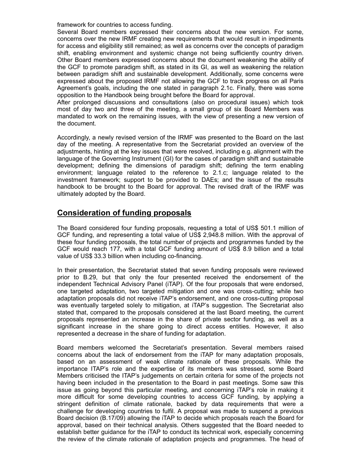framework for countries to access funding.

Several Board members expressed their concerns about the new version. For some, concerns over the new IRMF creating new requirements that would result in impediments for access and eligibility still remained; as well as concerns over the concepts of paradigm shift, enabling environment and systemic change not being sufficiently country driven. Other Board members expressed concerns about the document weakening the ability of the GCF to promote paradigm shift, as stated in its GI, as well as weakening the relation between paradigm shift and sustainable development. Additionally, some concerns were expressed about the proposed IRMF not allowing the GCF to track progress on all Paris Agreement's goals, including the one stated in paragraph 2.1c. Finally, there was some opposition to the Handbook being brought before the Board for approval. framework for countries to access funding.<br>Several Board members expressed their concerns about the new version. For some,<br>concerns over the new IRMF creating new requirements that would result in impediments<br>for access an framework for countries to access funding.<br>Several Board members expressed their concerns about the new version. For some,<br>Several Board members expressed their concerns over the concerns of the competition<br>for cacess and

After prolonged discussions and consultations (also on procedural issues) which took most of day two and three of the meeting, a small group of six Board Members was mandated to work on the remaining issues, with the view of presenting a new version of the document.

Accordingly, a newly revised version of the IRMF was presented to the Board on the last day of the meeting. A representative from the Secretariat provided an overview of the adjustments, hinting at the key issues that were resolved, including e.g. alignment with the language of the Governing Instrument (GI) for the cases of paradigm shift and sustainable investment framework; support to be provided to DAEs; and the issue of the results handbook to be brought to the Board for approval. The revised draft of the IRMF was ultimately adopted by the Board. the coordinent.<br>Accordingly, a newly revised version of the IRMF was presented to the Board on the last<br>day of the meeting. A representative from the Secretariat provided an overview of the<br>adjustments, hithing at the key

#### Consideration of funding proposals

The Board considered four funding proposals, requesting a total of US\$ 501.1 million of GCF funding, and representing a total value of US\$ 2,948.8 million. With the approval of these four funding proposals, the total number of projects and programmes funded by the GCF would reach 177, with a total GCF funding amount of US\$ 8.9 billion and a total value of US\$ 33.3 billion when including co-financing.

In their presentation, the Secretariat stated that seven funding proposals were reviewed independent Technical Advisory Panel (iTAP). Of the four proposals that were endorsed, one targeted adaptation, two targeted mitigation and one was cross-cutting; while two adaptation proposals did not receive iTAP's endorsement, and one cross-cutting proposal was eventually targeted solely to mitigation, at iTAP's suggestion. The Secretariat also stated that, compared to the proposals considered at the last Board meeting, the current proposals represented an increase in the share of private sector funding, as well as a ervirromment; any galage reases to the relevence to 2.1c; language related to the share discussion and the share discussion and the share discussion and the share defined by the Board for spare and the share defined to the represented a decrease in the share of funding for adaptation. **Consideration of funding proposals**<br>The Board considered four funding proposals, requesting a total of US\$ 501.1 million of<br>GCF funding, and representing a total value of US\$ 2,948.8 million. With the approval of<br>discere **Consideration of funding proposals**<br>The Board considered four funding proposals, requesting a total of US\$ 501.1 million of<br>GCF funding, and representing a total value of US\$ 2,948.8 million. With the approval of<br>differen **Experimentally and the experimentally and the SS 501.1 million of** TGCF funding and representing a total value of US\$ 2,948.8 million. With the approval of GCF funding proposals, the total number of projects and programme

concerns about the lack of endorsement from the iTAP for many adaptation proposals, Members criticised the ITAP's judgements on certain criteria for some of the projects not having been included in the presentation to the Board in past meetings. Some saw this issue as going beyond this particular meeting, and concerning iTAP's role in making it more to multimy proposas, it was well interact the projects and programmes wanted by the exercution, the Secretarial stated that seven funding proposals were reviewed In their presentation, the Secretarial stated that seve Strington the startington of climate restringential of climating and the starting and the prior to USS 33.3 billion when including co-financing.<br>In their presentation, the Secretariat stated that seven funding proposals we challenge for developing countries to fulfil. A proposal was made to suspend a previous Board decision (B.17/09) allowing the iTAP to decide which proposals reach the Board for approval, based on their technical analysis. Others suggested that the Board needed to establish better guidance for the iTAP to conduct its technical work, especially concerning the review of the climate rationale of adaptation projects and programmes. The head of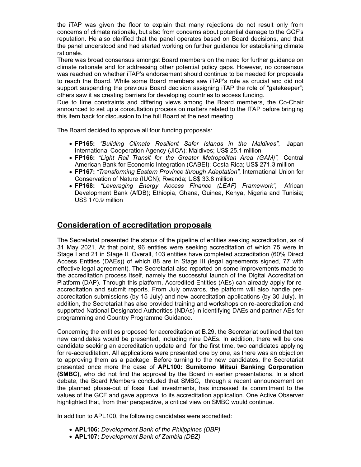the iTAP was given the floor to explain that many rejections do not result only from concerns of climate rationale, but also from concerns about potential damage to the GCF's reputation. He also clarified that the panel operates based on Board decisions, and that the panel understood and had started working on further guidance for establishing climate rationale.

There was broad consensus amongst Board members on the need for further guidance on climate rationale and for addressing other potential policy gaps. However, no consensus was reached on whether iTAP's endorsement should continue to be needed for proposals to reach the Board. While some Board members saw iTAP's role as crucial and did not support suspending the previous Board decision assigning iTAP the role of "gatekeeper"; others saw it as creating barriers for developing countries to access funding. AP was given the floor to explain that many rejections do not result only from<br>the article and climate rationale, but also from concerns about potential damage to the GCF's<br>tion. He also clarified that the panel operates b AP was given the floor to explain that many rejections do not result only from<br>the rail content rationale, but also from concerns about potential damage to the GCF's<br>tion. He also clarified that the panel operates based on Its of cultrate rationalis, but also notri concerns about potential damage to the GU-s<br>
tion. He also clarified that the panel operates based on Board decisions, and that<br>
lel.<br>
nel.<br>
He interstood and had started working

Due to time constraints and differing views among the Board members, the Co-Chair announced to set up a consultation process on matters related to the ITAP before bringing this item back for discussion to the full Board at the next meeting.

The Board decided to approve all four funding proposals:

- International Cooperation Agency (JICA); Maldives; US\$ 25.1 million
- American Bank for Economic Integration (CABEI); Costa Rica; US\$ 271.3 million
- FP167: "Transforming Eastern Province through Adaptation", International Union for Conservation of Nature (IUCN); Rwanda; US\$ 33.8 million
- Development Bank (AfDB); Ethiopia, Ghana, Guinea, Kenya, Nigeria and Tunisia; US\$ 170.9 million

#### Consideration of accreditation proposals

The Secretariat presented the status of the pipeline of entities seeking accreditation, as of 31 May 2021. At that point, 96 entities were seeking accreditation of which 75 were in Stage I and 21 in Stage II. Overall, 103 entities have completed accreditation (60% Direct Access Entities (DAEs)) of which 88 are in Stage III (legal agreements signed, 77 with effective legal agreement). The Secretariat also reported on some improvements made to the accreditation process itself, namely the successful launch of the Digital Accreditation Platform (DAP). Through this platform, Accredited Entities (AEs) can already apply for reaccreditation and submit reports. From July onwards, the platform will also handle preaccreditation submissions (by 15 July) and new accreditation applications (by 30 July). In addition, the Secretariat has also provided training and workshops on re-accreditation and supported National Designated Authorities (NDAs) in identifying DAEs and partner AEs for programming and Country Programme Guidance. **Consideration of accreditation proposals**<br>The Secretariat presented the status of the pipeline of entities seeking accreditation, as of<br>31 May 2021. At that point, 96 entities were seeking accreditation of which 75 were i

Concerning the entities proposed for accreditation at B.29, the Secretariat outlined that ten new candidates would be presented, including nine DAEs. In addition, there will be one candidate seeking an accreditation update and, for the first time, two candidates applying for re-accreditation. All applications were presented one by one, as there was an objection to approving them as a package. Before turning to the new candidates, the Secretariat (SMBC), who did not find the approval by the Board in earlier presentations. In a short debate, the Board Members concluded that SMBC, through a recent announcement on the planned phase-out of fossil fuel investments, has increased its commitment to the values of the GCF and gave approval to its accreditation application. One Active Observer highlighted that, from their perspective, a critical view on SMBC would continue.

In addition to APL100, the following candidates were accredited:

- APL106: Development Bank of the Philippines (DBP)
- APL107: Development Bank of Zambia (DBZ)